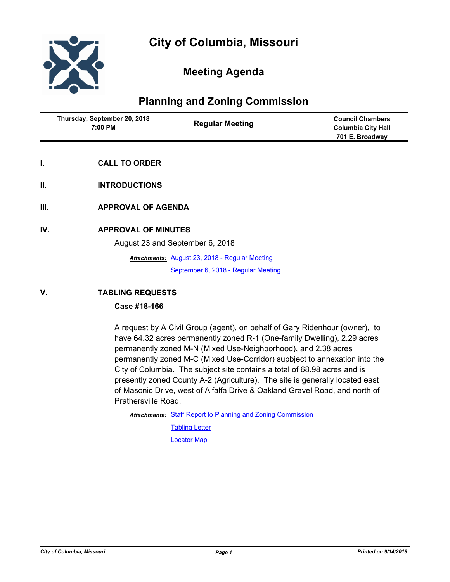

# **Meeting Agenda**

# **Planning and Zoning Commission**

|     | Thursday, September 20, 2018<br>7:00 PM | <b>Regular Meeting</b>                                | <b>Council Chambers</b><br><b>Columbia City Hall</b><br>701 E. Broadway |
|-----|-----------------------------------------|-------------------------------------------------------|-------------------------------------------------------------------------|
| Ι.  | <b>CALL TO ORDER</b>                    |                                                       |                                                                         |
| II. | <b>INTRODUCTIONS</b>                    |                                                       |                                                                         |
| Ш.  | <b>APPROVAL OF AGENDA</b>               |                                                       |                                                                         |
| IV. | <b>APPROVAL OF MINUTES</b>              | August 23 and September 6, 2018                       |                                                                         |
|     |                                         | <b>Attachments: August 23, 2018 - Regular Meeting</b> |                                                                         |

[September 6, 2018 - Regular Meeting](http://gocolumbiamo.legistar.com/gateway.aspx?M=F&ID=5c5eb14f-fc2e-46fb-b0a9-65e61961b2fc.docx)

## **V. TABLING REQUESTS**

## **Case #18-166**

A request by A Civil Group (agent), on behalf of Gary Ridenhour (owner), to have 64.32 acres permanently zoned R-1 (One-family Dwelling), 2.29 acres permanently zoned M-N (Mixed Use-Neighborhood), and 2.38 acres permanently zoned M-C (Mixed Use-Corridor) supbject to annexation into the City of Columbia. The subject site contains a total of 68.98 acres and is presently zoned County A-2 (Agriculture). The site is generally located east of Masonic Drive, west of Alfalfa Drive & Oakland Gravel Road, and north of Prathersville Road.

Attachments: [Staff Report to Planning and Zoning Commission](http://gocolumbiamo.legistar.com/gateway.aspx?M=F&ID=33adb99a-92ed-403a-8c06-29363fad5da3.pdf)

**[Tabling Letter](http://gocolumbiamo.legistar.com/gateway.aspx?M=F&ID=a95c8739-8d7c-404f-98f8-f0e73abcf828.pdf)** [Locator Map](http://gocolumbiamo.legistar.com/gateway.aspx?M=F&ID=066be96f-85f0-44b8-a6f7-b4dca24fe9b7.pdf)